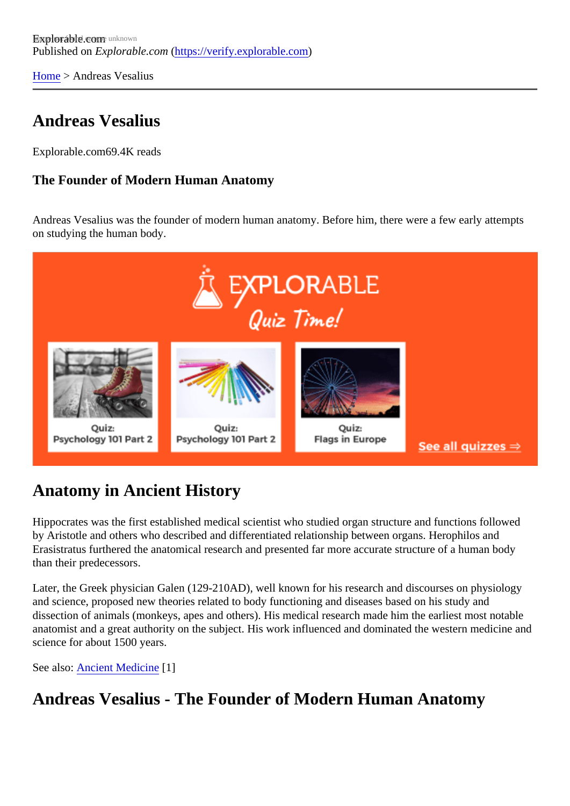[Home](https://verify.explorable.com/)> Andreas Vesalius

## Andreas Vesalius

Explorable.cor69.4K reads

The Founder of Modern Human Anatomy

Andreas Vesalius was the founder of modern human anatomy. Before him, there were a few early attempt on studying the human body.

## Anatomy in Ancient History

Hippocrates was the first established medical scientist who studied organ structure and functions followed by Aristotle and others who described and differentiated relationship between organs. Herophilos and Erasistratus furthered the anatomical research and presented far more accurate structure of a human body than their predecessors.

Later, the Greek physician Galen (129-210AD), well known for his research and discourses on physiology and science, proposed new theories related to body functioning and diseases based on his study and dissection of animals (monkeys, apes and others). His medical research made him the earliest most notable anatomist and a great authority on the subject. His work influenced and dominated the western medicine a science for about 1500 years.

See alsoAncient Medicine<sup>[1]</sup>

Andreas Vesalius - The Founder of Modern Human Anatomy